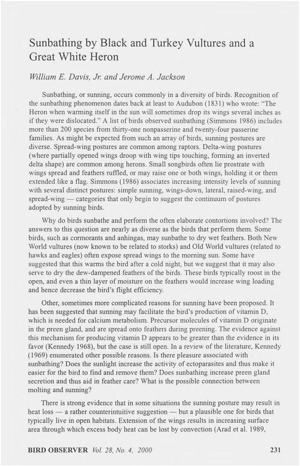## Sunbathing by Black and Turkey Vultures and a Great White Heron

## *William E. Davis, Jr. and Jerome A. Jackson*

Sunbathing, or sunning, occurs commonly in a diversity of birds. Recognition of the sunbathing phenomenon dates back at least to Audubon (1831) who wrote: "The Heron when warming itself in the sun will sometimes drop its wings several inches as if they were dislocated." A list of birds observed sunbathing (Simmons 1986) includes more than 200 species from thirty-one nonpasserine and twenty-four passerine families. As might be expected from such an array of birds, sunning postures are diverse. Spread-wing postures are common among raptors. Delta-wing postures (where partially opened wings droop with wing tips touching, forming an inverted delta shape) are common among herons. Small songbirds often lie prostrate with wings spread and feathers raffled, or may raise one or both wings, holding it or them extended like a flag. Simmons (1986) associates increasing intensity levels of sunning with several distinct postures: simple sunning, wings-down, lateral, raised-wing, and spread-wing — categories that only begin to suggest the continuum of postures adopted by sunning birds.

Why do birds sunbathe and perform the often elaborate contortions involved? The answers to this question are nearly as diverse as the birds that perform them. Some birds, such as cormorants and anhingas, may sunbathe to dry wet feathers. Both New World vultures (now known to be related to storks) and Old World vultures (related to hawks and eagles) often expose spread wings to the morning sun. Some have suggested that this warms the bird after a cold night, but we suggest that it may also serve to dry the dew-dampened feathers of the birds. These birds typically roost in the open, and even a thin layer of moisture on the feathers would increase wing loading and hence decrease the bird's flight efficiency.

Other, sometimes more complicated reasons for sunning have been proposed. It has been suggested that sunning may facilitate the bird's production of vitamin D, which is needed for calcium metabolism. Precursor molecules of vitamin D originate in the preen gland, and are spread onto feathers during preening. The evidence against this mechanism for producing vitamin D appears to be greater than the evidence in its favor (Kennedy 1968), but the case is still open. In a review of the literature, Kennedy (1969) enumerated other possible reasons. Is there pleasure associated with sunbathing? Does the sunlight increase the activity of ectoparasites and thus make it easier for the bird to find and remove them? Does sunbathing increase preen gland secretion and thus aid in feather care? What is the possible connection between molting and sunning?

There is strong evidence that in some situations the sunning posture may result in heat loss — a rather counterintuitive suggestion — but a plausible one for birds that typically live in open habitats. Extension of the wings results in increasing surface area through which excess body heat can be lost by convection (Arad et al. 1989,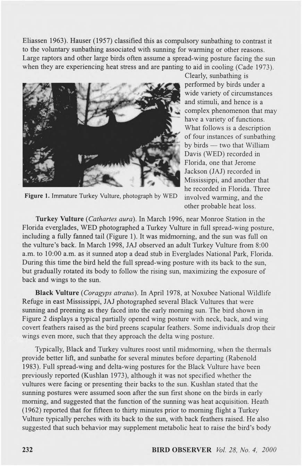Eliassen 1963). Hauser (1957) classified this as compulsory sunbathing to contrast it to the voluntary sunbathing associated with sunning for warming or other reasons. Large raptors and other large birds often assume a spread-wing posture facing the sun when they are experiencing heat stress and are panting to aid in cooling (Cade 1973).



Figure 1. Immature Turkey Vulture, photograph by WED

Clearly, sunbathing is performed by birds under a wide variety of circumstances and stimuli, and hence is a complex phenomenon that may have a variety of functions. What follows is a description of four instances of sunbathing by birds — two that William Davis (WED) recorded in Florida, one that Jerome Jackson (JAJ) recorded in Mississippi, and another that he recorded in Florida. Three involved warming, and the other probable heat loss.

Turkey Vulture (Cathartes aura). In March 1996, near Monroe Station in the Florida everglades, WED photographed a Turkey Vulture in full spread-wing posture, including a fully farmed tail (Figure 1). It was midmoming, and the sun was full on the vulture's back. In March 1998, JAJ observed an adult Turkey Vulture from 8:00 a.m. to 10:00 a.m. as it sunned atop a dead stub in Everglades National Park, Florida. During this time the bird held the full spread-wing posture with its back to the sun, but gradually rotated its body to follow the rising sun, maximizing the exposure of back and wings to the sun.

**B lack Vulture** *(Coragyps atratus).* In April 1978, at Noxubee National Wildlife Refuge in east Mississippi, JAJ photographed several Black Vultures that were surming and preening as they faced into the early morning sun. The bird shown in Figure 2 displays a typical partially opened wing posture with neck, back, and wing covert feathers raised as the bird preens scapular feathers. Some individuals drop their wings even more, such that they approach the delta wing posture.

Typically, Black and Turkey vultures roost until midmoming, when the thermals provide better lift, and sunbathe for several minutes before departing (Rabenold 1983). Full spread-wing and delta-wing postures for the Black Vulture have been previously reported (Kushlan 1973), although it was not specified whether the vultures were facing or presenting their backs to the sun. Kushlan stated that the sunning postures were assumed soon after the sun first shone on the birds in early morning, and suggested that the function of the sunning was heat acquisition. Heath (1962) reported that for fifteen to thirty minutes prior to morning flight a Turkey Vulture typically perches with its back to the sun, with back feathers raised. He also suggested that such behavior may supplement metabolic heat to raise the bird's body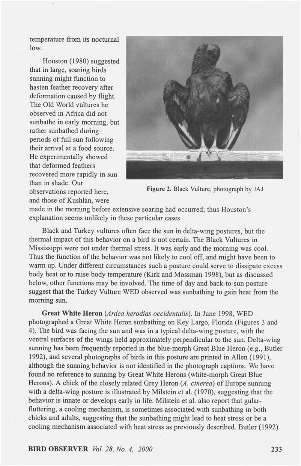temperature from its nocturnal low.

Houston (1980) suggested that in large, soaring birds sunning might function to hasten feather recovery after deformation caused by flight. The Old World vultures he observed in Africa did not sunbathe in early morning, but rather sunbathed during periods of full sun following their arrival at a food source. He experimentally showed that deformed feathers recovered more rapidly in sun than in shade. Our observations reported here, and those of Kushlan, were



Figure 2. Black Vulture, photograph by JAJ

made in the morning before extensive soaring had occurred; thus Houston's explanation seems unlikely in these particular cases.

Black and Turkey vultures often face the sun in delta-wing postures, but the thermal impact of this behavior on a bird is not certain. The Black Vultures in Mississippi were not under thermal stress. It was early and the morning was cool. Thus the function of the behavior was not likely to cool off, and might have been to warm up. Under different circumstances such a posture could serve to dissipate excess body heat or to raise body temperature (Kirk and Mossman 1998), but as discussed below, other functions may be involved. The time of day and back-to-sun posture suggest that the Turkey Vulture WED observed was sunbathing to gain heat from the morning sun.

Great White Heron *(Ardea hewdias occidentalis).* In June 1998, WED photographed a Great White Heron sunbathing on Key Largo, Florida (Figures 3 and 4). The bird was facing the sun and was in a typical delta-wing posture, with the ventral surfaces of the wings held approximately perpendicular to the sun. Delta-wing sunning has been frequently reported in the blue-morph Great Blue Heron (e.g., Butler 1992), and several photographs of birds in this posture are printed in Allen (1991), although the sunning behavior is not identified in the photograph captions. We have found no reference to sunning by Great White Herons (white-morph Great Blue Herons). A chick of the closely related Grey Heron *(A. cinerea)* of Europe sunning with a delta-wing posture is illustrated by Milstein et al. (1970), suggesting that the behavior is innate or develops early in life. Milstein et al. also report that gularfluttering, a cooling mechanism, is sometimes associated with sunbathing in both chicks and adults, suggesting that the sunbathing might lead to heat stress or be a cooling mechanism associated with heat stress as previously described. Butler (1992)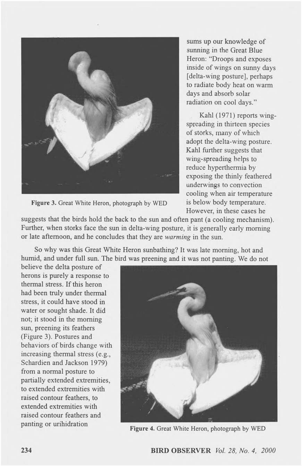

**Figure** 3. Great White Heron, photograph by WED

sums up our knowledge of sunning in the Great Blue Heron: "Droops and exposes inside of wings on sunny days [delta-wing posture], perhaps to radiate body heat on warm days and absorb solar radiation on cool days."

Kahl (1971) reports wingspreading in thirteen species of storks, many of which adopt the delta-wing posture. Kahl further suggests that wing-spreading helps to reduce hyperthermia by exposing the thinly feathered underwings to convection cooling when air temperature is below body temperature. However, in these cases he

suggests that the birds hold the back to the sun and often pant (a cooling mechanism). Further, when storks face the sun in delta-wing posture, it is generally early morning or late afternoon, and he concludes that they are *warming* in the sun.

So why was this Great White Heron sunbathing? It was late morning, hot and humid, and under full sun. The bird was preening and it was not panting. We do not

believe the delta posture of herons is purely a response to thermal stress. If this heron had been truly under thermal stress, it could have stood in water or sought shade. It did not; it stood in the morning sun, preening its feathers (Figure 3). Postures and behaviors of birds change with increasing thermal stress (e.g., Schardien and Jackson 1979) from a normal posture to partially extended extremities, to extended extremities with raised contour feathers, to extended extremities with raised contour feathers and panting or urihidration



**Figure** 4. Great White Heron, photograph by WED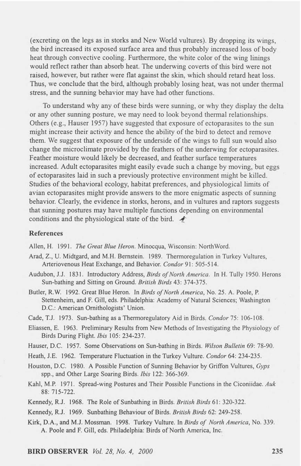(excreting on the legs as in storks and New World vultures). By dropping its wings, the bird increased its exposed surface area and thus probably increased loss of body heat through convective cooling. Furthermore, the white color of the wing linings would reflect rather than absorb heat. The underwing coverts of this bird were not raised, however, but rather were flat against the skin, which should retard heat loss. Thus, we conclude that the bird, although probably losing heat, was not under thermal stress, and the sunning behavior may have had other functions.

To understand why any of these birds were sunning, or why they display the delta or any other sunning posture, we may need to look beyond thermal relationships. Others (e.g., Hauser 1957) have suggested that exposure of ectoparasites to the sun might increase their activity and hence the ability of the bird to detect and remove them. We suggest that exposure of the underside of the wings to full sun would also change the microclimate provided by the feathers of the underwing for ectoparasites. Feather moisture would likely be decreased, and feather surface temperatures increased. Adult ectoparasites might easily evade such a change by moving, but eggs of ectoparasites laid in such a previously protective environment might be killed. Studies of the behavioral ecology, habitat preferences, and physiological limits of avian ectoparasites might provide answers to the more enigmatic aspects of sunning behavior. Clearly, the evidence in storks, herons, and in vultures and raptors suggests that sunning postures may have multiple functions depending on environmental conditions and the physiological state of the bird.  $\blacktriangleleft$ 

## References

Allen, H. 1991. *The Great Blue Heron*. Minocqua, Wisconsin: NorthWord.

- **Arad, Z., U. Midtgard, and M.H. Bernstein. 1989. Thermoregulation in Turkey Vultures,** Arteriovenous Heat Exchange, and Behavior. *Condor* 91: 505-514.
- Audubon, J.J. 1831. Introductory Address, *Birds of North America*. In H. Tully 1950. Herons Sun-bathing and Sitting on Ground. *British Birds* 43: 374-375.
- Butler, R.W. 1992. Great Blue Heron. In *Birds of North America*, No. 25. A. Poole, P. Stettenheim, and F. Gill, eds. Philadelphia: Academy of Natural Sciences; Washington **D.C.: American Ornithologists' Union.**

Cade, T.J. 1973. Sun-bathing as a Thermoregulatory Aid in Birds. Condor 75: 106-108.

Eliassen, E. 1963. Preliminary Results from New Methods of Investigating the Physiology of **Birds During Flight.** *Ib is* **105: 234-237.**

Hauser, D.C. 1957. Some Observations on Sun-bathing in Birds. Wilson Bulletin 69: 78-90.

Heath, J.E. 1962. Temperature Fluctuation in the Turkey Vulture. *Condor* 64: 234-235.

- Houston, D.C. 1980. A Possible Function of Sunning Behavior by Griffon Vultures, *Gyps* spp., and Other Large Soaring Birds. *Ibis* 122: 366-369.
- Kahl, M.P. 1971. Spread-wing Postures and Their Possible Functions in the Ciconiidae. *Auk* **88: 715-722.**
- Kennedy, R.J. 1968. The Role of Sunbathing in Birds. *British Birds* 61: 320-322.

Kennedy, R.J. 1969. Sunbathing Behaviour of Birds. *British Birds* 62: 249-258.

Kirk, D.A., and M.J. Mossman. 1998. Turkey Vulture. In *Birds of North America*, No. 339. A. Poole and F. Gill, eds. Philadelphia: Birds of North America, Inc.